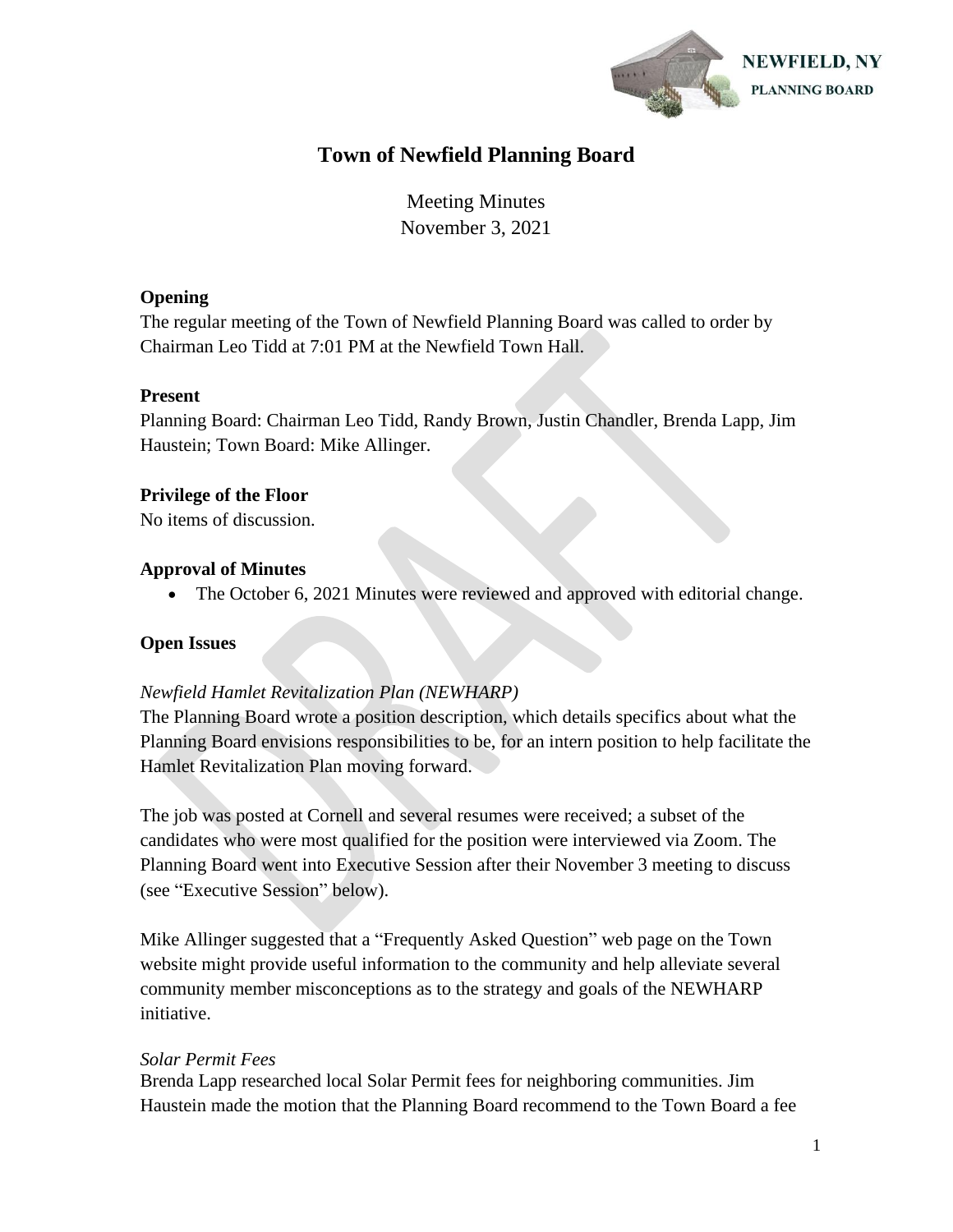

# **Town of Newfield Planning Board**

Meeting Minutes November 3, 2021

## **Opening**

The regular meeting of the Town of Newfield Planning Board was called to order by Chairman Leo Tidd at 7:01 PM at the Newfield Town Hall.

## **Present**

Planning Board: Chairman Leo Tidd, Randy Brown, Justin Chandler, Brenda Lapp, Jim Haustein; Town Board: Mike Allinger.

# **Privilege of the Floor**

No items of discussion.

# **Approval of Minutes**

• The October 6, 2021 Minutes were reviewed and approved with editorial change.

# **Open Issues**

# *Newfield Hamlet Revitalization Plan (NEWHARP)*

The Planning Board wrote a position description, which details specifics about what the Planning Board envisions responsibilities to be, for an intern position to help facilitate the Hamlet Revitalization Plan moving forward.

The job was posted at Cornell and several resumes were received; a subset of the candidates who were most qualified for the position were interviewed via Zoom. The Planning Board went into Executive Session after their November 3 meeting to discuss (see "Executive Session" below).

Mike Allinger suggested that a "Frequently Asked Question" web page on the Town website might provide useful information to the community and help alleviate several community member misconceptions as to the strategy and goals of the NEWHARP initiative.

# *Solar Permit Fees*

Brenda Lapp researched local Solar Permit fees for neighboring communities. Jim Haustein made the motion that the Planning Board recommend to the Town Board a fee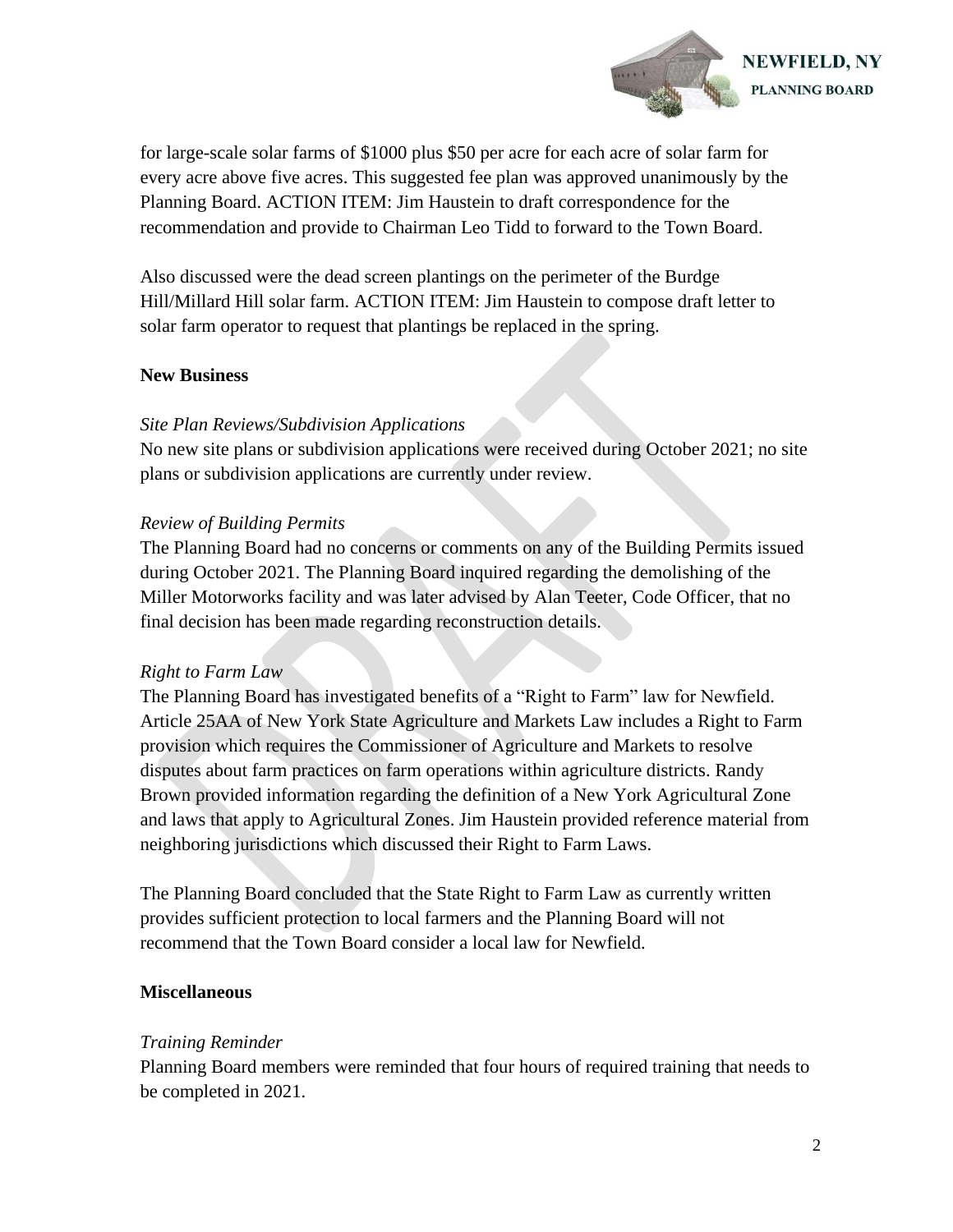

for large-scale solar farms of \$1000 plus \$50 per acre for each acre of solar farm for every acre above five acres. This suggested fee plan was approved unanimously by the Planning Board. ACTION ITEM: Jim Haustein to draft correspondence for the recommendation and provide to Chairman Leo Tidd to forward to the Town Board.

Also discussed were the dead screen plantings on the perimeter of the Burdge Hill/Millard Hill solar farm. ACTION ITEM: Jim Haustein to compose draft letter to solar farm operator to request that plantings be replaced in the spring.

## **New Business**

## *Site Plan Reviews/Subdivision Applications*

No new site plans or subdivision applications were received during October 2021; no site plans or subdivision applications are currently under review.

#### *Review of Building Permits*

The Planning Board had no concerns or comments on any of the Building Permits issued during October 2021. The Planning Board inquired regarding the demolishing of the Miller Motorworks facility and was later advised by Alan Teeter, Code Officer, that no final decision has been made regarding reconstruction details.

#### *Right to Farm Law*

The Planning Board has investigated benefits of a "Right to Farm" law for Newfield. Article 25AA of New York State Agriculture and Markets Law includes a Right to Farm provision which requires the Commissioner of Agriculture and Markets to resolve disputes about farm practices on farm operations within agriculture districts. Randy Brown provided information regarding the definition of a New York Agricultural Zone and laws that apply to Agricultural Zones. Jim Haustein provided reference material from neighboring jurisdictions which discussed their Right to Farm Laws.

The Planning Board concluded that the State Right to Farm Law as currently written provides sufficient protection to local farmers and the Planning Board will not recommend that the Town Board consider a local law for Newfield.

# **Miscellaneous**

#### *Training Reminder*

Planning Board members were reminded that four hours of required training that needs to be completed in 2021.